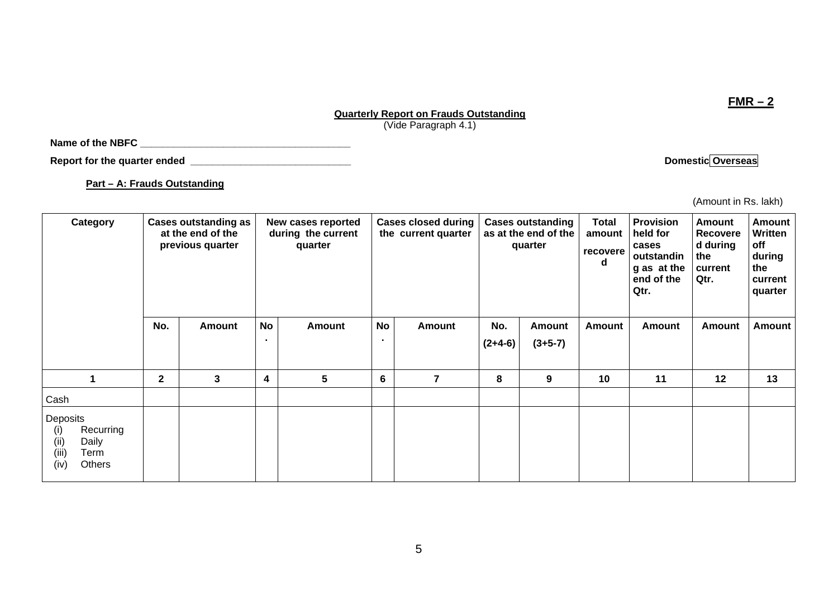# **Quarterly Report on Frauds Outstanding**

(Vide Paragraph 4.1)

**Name of the NBFC \_\_\_\_\_\_\_\_\_\_\_\_\_\_\_\_\_\_\_\_\_\_\_\_\_\_\_\_\_\_\_\_\_\_\_\_\_\_** 

**Report for the quarter ended \_\_\_\_\_\_\_\_\_\_\_\_\_\_\_\_\_\_\_\_\_\_\_\_\_\_\_\_\_ Domestic Overseas** 

**Part – A: Frauds Outstanding**

(Amount in Rs. lakh)

| Category                                                                         |              | <b>Cases outstanding as</b><br>at the end of the<br>previous quarter |                             | New cases reported<br>during the current<br>quarter |                | <b>Cases closed during</b><br>the current quarter |                  | <b>Cases outstanding</b><br>as at the end of the<br>quarter | <b>Total</b><br>amount<br>recovere<br>d | <b>Provision</b><br>held for<br>cases<br>outstandin<br>g as at the<br>end of the<br>Qtr. | <b>Amount</b><br><b>Recovere</b><br>d during<br>the<br>current<br>Qtr. | <b>Amount</b><br><b>Written</b><br>off<br>during<br>the<br>current<br>quarter<br><b>Amount</b> |
|----------------------------------------------------------------------------------|--------------|----------------------------------------------------------------------|-----------------------------|-----------------------------------------------------|----------------|---------------------------------------------------|------------------|-------------------------------------------------------------|-----------------------------------------|------------------------------------------------------------------------------------------|------------------------------------------------------------------------|------------------------------------------------------------------------------------------------|
|                                                                                  | No.          | <b>Amount</b>                                                        | <b>No</b><br>$\blacksquare$ | <b>Amount</b>                                       | <b>No</b>      | <b>Amount</b>                                     | No.<br>$(2+4-6)$ | <b>Amount</b><br>$(3+5-7)$                                  | <b>Amount</b>                           | <b>Amount</b>                                                                            | Amount                                                                 |                                                                                                |
|                                                                                  | $\mathbf{2}$ | $\mathbf{3}$                                                         | 4                           | 5                                                   | $6\phantom{1}$ | $\overline{7}$                                    | 8                | 9                                                           | 10                                      | 11                                                                                       | 12                                                                     | 13                                                                                             |
| Cash                                                                             |              |                                                                      |                             |                                                     |                |                                                   |                  |                                                             |                                         |                                                                                          |                                                                        |                                                                                                |
| Deposits<br>Recurring<br>(i)<br>(ii)<br>Daily<br>(iii)<br>Term<br>(iv)<br>Others |              |                                                                      |                             |                                                     |                |                                                   |                  |                                                             |                                         |                                                                                          |                                                                        |                                                                                                |

**FMR – 2**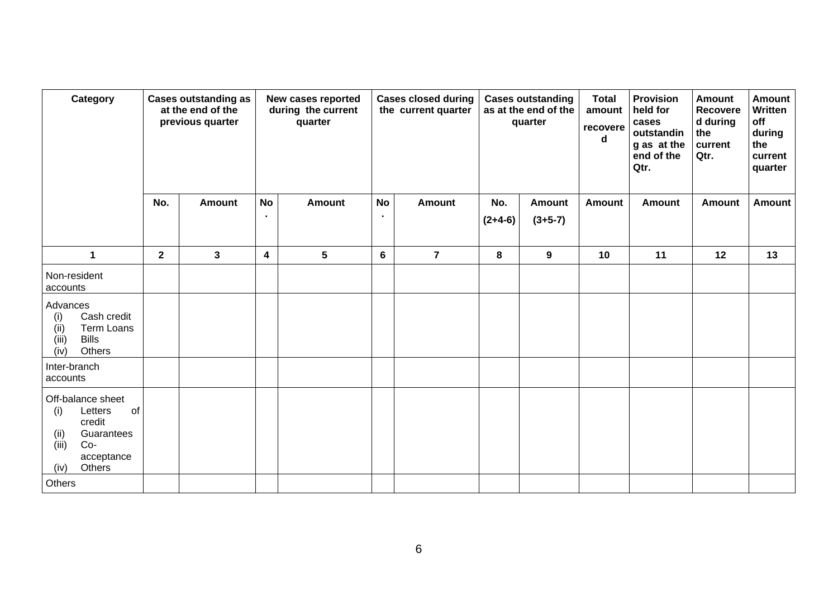| Category                                                                                                                    | <b>Cases outstanding as</b><br>at the end of the<br>previous quarter |               | New cases reported<br>during the current<br>quarter |                 |   | <b>Cases closed during</b><br>the current quarter |                       | <b>Cases outstanding</b><br>as at the end of the<br>quarter | <b>Total</b><br>amount<br>recovere<br>d | <b>Provision</b><br>held for<br>cases<br>outstandin<br>g as at the<br>end of the<br>Qtr. | <b>Amount</b><br><b>Recovere</b><br>d during<br>the<br>current<br>Qtr. | <b>Amount</b><br>Written<br>off<br>during<br>the<br>current<br>quarter |
|-----------------------------------------------------------------------------------------------------------------------------|----------------------------------------------------------------------|---------------|-----------------------------------------------------|-----------------|---|---------------------------------------------------|-----------------------|-------------------------------------------------------------|-----------------------------------------|------------------------------------------------------------------------------------------|------------------------------------------------------------------------|------------------------------------------------------------------------|
|                                                                                                                             | No.                                                                  | <b>Amount</b> | <b>No</b><br>$\bullet$                              | <b>Amount</b>   |   | <b>No</b><br><b>Amount</b>                        |                       | <b>Amount</b><br>$(3+5-7)$                                  | <b>Amount</b>                           | <b>Amount</b>                                                                            | <b>Amount</b>                                                          | <b>Amount</b>                                                          |
|                                                                                                                             |                                                                      |               |                                                     |                 |   |                                                   | $(2+4-6)$             |                                                             |                                         |                                                                                          |                                                                        |                                                                        |
| $\mathbf{1}$                                                                                                                | $\mathbf{2}$                                                         | $\mathbf{3}$  | $\boldsymbol{4}$                                    | $5\phantom{.0}$ | 6 | $\overline{7}$                                    | 8<br>$\boldsymbol{9}$ |                                                             | 10                                      | 11                                                                                       | 12                                                                     | 13                                                                     |
| Non-resident<br>accounts                                                                                                    |                                                                      |               |                                                     |                 |   |                                                   |                       |                                                             |                                         |                                                                                          |                                                                        |                                                                        |
| Advances<br>Cash credit<br>(i)<br>Term Loans<br>(ii)<br><b>Bills</b><br>(iii)<br>(iv)<br>Others                             |                                                                      |               |                                                     |                 |   |                                                   |                       |                                                             |                                         |                                                                                          |                                                                        |                                                                        |
| Inter-branch<br>accounts                                                                                                    |                                                                      |               |                                                     |                 |   |                                                   |                       |                                                             |                                         |                                                                                          |                                                                        |                                                                        |
| Off-balance sheet<br>Letters<br>of<br>(i)<br>credit<br>(ii)<br>Guarantees<br>(iii)<br>$Co-$<br>acceptance<br>Others<br>(iv) |                                                                      |               |                                                     |                 |   |                                                   |                       |                                                             |                                         |                                                                                          |                                                                        |                                                                        |
| Others                                                                                                                      |                                                                      |               |                                                     |                 |   |                                                   |                       |                                                             |                                         |                                                                                          |                                                                        |                                                                        |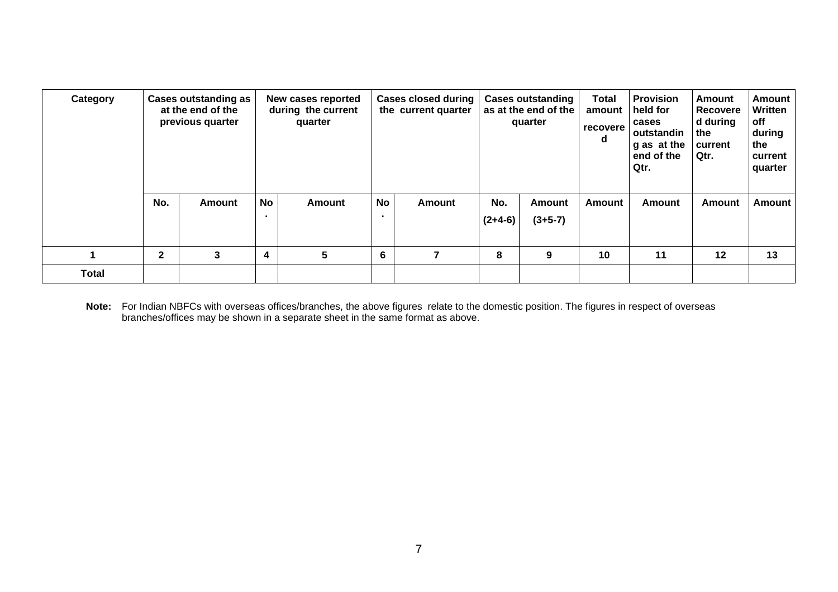| Category     |              | <b>Cases outstanding as</b><br>at the end of the<br>previous quarter |                         | New cases reported<br>during the current<br>quarter |           | <b>Cases closed during</b><br>the current quarter |                  | <b>Cases outstanding</b><br>as at the end of the<br>quarter | <b>Total</b><br>amount<br>recovere<br>d | <b>Provision</b><br>held for<br>cases<br>outstandin<br>g as at the<br>end of the<br>Qtr. | Amount<br><b>Recovere</b><br>d during<br>the<br>current<br>Qtr. | Amount<br>Written<br>off<br>during<br>the<br>current<br>quarter |  |
|--------------|--------------|----------------------------------------------------------------------|-------------------------|-----------------------------------------------------|-----------|---------------------------------------------------|------------------|-------------------------------------------------------------|-----------------------------------------|------------------------------------------------------------------------------------------|-----------------------------------------------------------------|-----------------------------------------------------------------|--|
|              | No.          | <b>Amount</b>                                                        | No<br>$\blacksquare$    | <b>Amount</b>                                       | <b>No</b> | Amount                                            | No.<br>$(2+4-6)$ | <b>Amount</b><br>$(3+5-7)$                                  | <b>Amount</b>                           | <b>Amount</b>                                                                            | <b>Amount</b>                                                   | Amount                                                          |  |
|              | $\mathbf{2}$ | 3                                                                    | $\overline{\mathbf{4}}$ | 5<br>6                                              |           |                                                   | 8                | 9                                                           | 10                                      | 11                                                                                       | 12                                                              | 13                                                              |  |
| <b>Total</b> |              |                                                                      |                         |                                                     |           |                                                   |                  |                                                             |                                         |                                                                                          |                                                                 |                                                                 |  |

**Note:** For Indian NBFCs with overseas offices/branches, the above figures relate to the domestic position. The figures in respect of overseas branches/offices may be shown in a separate sheet in the same format as above.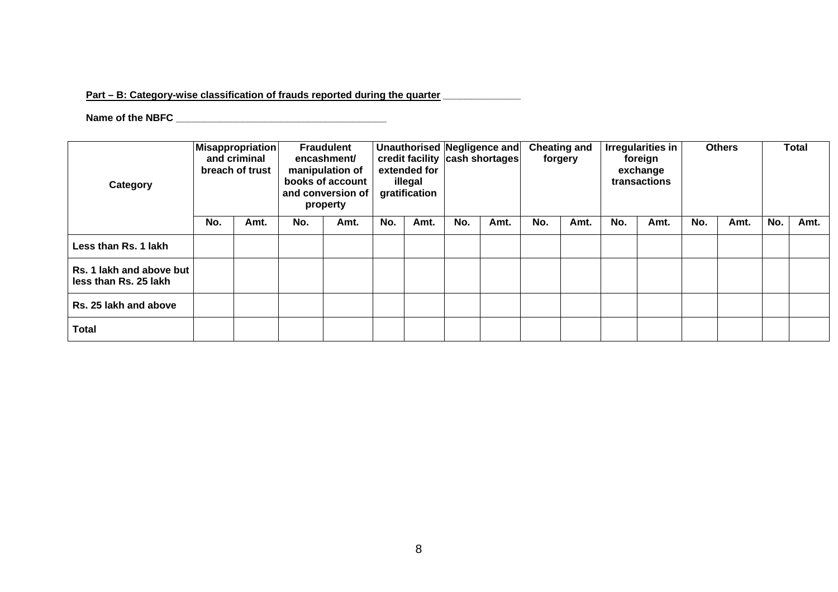## Part – B: Category-wise classification of frauds reported during the quarter **\_\_\_\_\_\_\_\_\_\_**

## **Name of the NBFC \_\_\_\_\_\_\_\_\_\_\_\_\_\_\_\_\_\_\_\_\_\_\_\_\_\_\_\_\_\_\_\_\_\_\_\_\_\_**

| Category                                          | <b>Misappropriation</b><br>and criminal<br>breach of trust |      | <b>Fraudulent</b><br>encashment/<br>manipulation of<br>books of account<br>and conversion of<br>property |      | extended for<br>illegal<br>gratification |      | Unauthorised Negligence and<br>credit facility cash shortages |      | <b>Cheating and</b><br>forgery |      | <b>Irregularities in</b><br>foreign<br>exchange<br>transactions |      | <b>Others</b> |      | <b>Total</b> |      |
|---------------------------------------------------|------------------------------------------------------------|------|----------------------------------------------------------------------------------------------------------|------|------------------------------------------|------|---------------------------------------------------------------|------|--------------------------------|------|-----------------------------------------------------------------|------|---------------|------|--------------|------|
|                                                   | No.                                                        | Amt. | No.                                                                                                      | Amt. | No.                                      | Amt. | No.                                                           | Amt. | No.                            | Amt. | No.                                                             | Amt. | No.           | Amt. | No.          | Amt. |
| Less than Rs. 1 lakh                              |                                                            |      |                                                                                                          |      |                                          |      |                                                               |      |                                |      |                                                                 |      |               |      |              |      |
| Rs. 1 lakh and above but<br>less than Rs. 25 lakh |                                                            |      |                                                                                                          |      |                                          |      |                                                               |      |                                |      |                                                                 |      |               |      |              |      |
| Rs. 25 lakh and above                             |                                                            |      |                                                                                                          |      |                                          |      |                                                               |      |                                |      |                                                                 |      |               |      |              |      |
| Total                                             |                                                            |      |                                                                                                          |      |                                          |      |                                                               |      |                                |      |                                                                 |      |               |      |              |      |